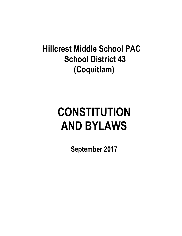## **Hillcrest Middle School PAC School District 43 (Coquitlam)**

# **CONSTITUTION AND BYLAWS**

**September 2017**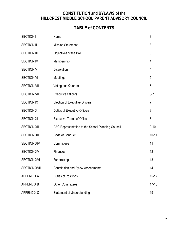#### **CONSTITUTION and BYLAWS of the HILLCREST MIDDLE SCHOOL PARENT ADVISORY COUNCIL**

### **TABLE of CONTENTS**

| <b>SECTION I</b>    | Name                                              | $\mathfrak{Z}$ |
|---------------------|---------------------------------------------------|----------------|
| <b>SECTION II</b>   | <b>Mission Statement</b>                          | 3              |
| <b>SECTION III</b>  | Objectives of the PAC                             | 3              |
| <b>SECTION IV</b>   | Membership                                        | 4              |
| <b>SECTION V</b>    | <b>Dissolution</b>                                | 4              |
| <b>SECTION VI</b>   | Meetings                                          | 5              |
| <b>SECTION VII</b>  | Voting and Quorum                                 | 6              |
| <b>SECTION VIII</b> | <b>Executive Officers</b>                         | $6 - 7$        |
| <b>SECTION IX</b>   | <b>Election of Executive Officers</b>             | 7              |
| <b>SECTION X</b>    | <b>Duties of Executive Officers</b>               | 8              |
| <b>SECTION XI</b>   | <b>Executive Terms of Office</b>                  | 8              |
| <b>SECTION XII</b>  | PAC Representation to the School Planning Council | $9 - 10$       |
| <b>SECTION XIII</b> | Code of Conduct                                   | $10 - 11$      |
| <b>SECTION XIV</b>  | Committees                                        | 11             |
| <b>SECTION XV</b>   | Finances                                          | 12             |
| <b>SECTION XVI</b>  | Fundraising                                       | 13             |
| <b>SECTION XVII</b> | <b>Constitution and Bylaw Amendments</b>          | 14             |
| <b>APPENDIX A</b>   | <b>Duties of Positions</b>                        | $15 - 17$      |
| <b>APPENDIX B</b>   | <b>Other Committees</b>                           | $17 - 18$      |
| <b>APPENDIX C</b>   | <b>Statement of Understanding</b>                 | 19             |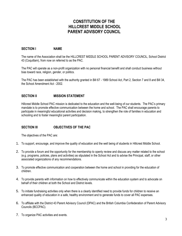#### **CONSTITUTION OF THE HILLCREST MIDDLE SCHOOL PARENT ADVISORY COUNCIL**

#### **SECTION I NAME**

The name of the Association shall be the HILLCREST MIDDLE SCHOOL PARENT ADVISORY COUNCIL, School District 43 (Coquitlam), from now on referred to as the PAC.

The PAC will operate as a non-profit organization with no personal financial benefit and shall conduct business without bias toward race, religion, gender, or politics.

The PAC has been established with the authority granted in Bill 67 - 1989 School Act, Part 2, Section 7 and 8 and Bill 34, the School Amendment Act - 2002.

#### **SECTION II MISSION STATEMENT**

Hillcrest Middle School PAC mission is dedicated to the education and the well-being of our students. The PAC's primary mandate is to promote effective communication between the home and school. The PAC shall encourage parents to participate in meaningful educational activities and decision making, to strengthen the role of families in education and schooling and to foster meaningful parent participation.

#### **SECTION III OBJECTIVES OF THE PAC**

The objectives of the PAC are:

- 1. To support, encourage, and improve the quality of education and the well being of students in Hillcrest Middle School.
- 2. To provide a forum and the opportunity for the membership to openly review and discuss any matter related to the school (e.g. programs, policies, plans and activities) as stipulated in the School Act and to advise the Principal, staff, or other associated organizations of any recommendations.
- 3. To promote effective communication and cooperation between the home and school in providing for the education of children.
- 4. To provide parents with information on how to effectively communicate within the education system and to advocate on behalf of their children at both the School and District levels.
- 5. To initiate fundraising activities only when there is a clearly identified need to provide funds for children to receive an enhanced quality of education in a safe, healthy environment and to generate funds to cover all PAC expenses.
- 6. To affiliate with the District 43 Parent Advisory Council (DPAC) and the British Columbia Confederation of Parent Advisory Councils (BCCPAC).
- 7. To organize PAC activities and events.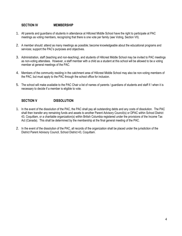#### **SECTION IV MEMBERSHIP**

- 1. All parents and guardians of students in attendance at Hillcrest Middle School have the right to participate at PAC meetings as voting members, recognizing that there is one vote per family (see Voting, Section VII).
- 2. A member should: attend as many meetings as possible; become knowledgeable about the educational programs and services; support the PAC's purposes and objectives.
- 3. Administration, staff (teaching and non-teaching), and students of Hillcrest Middle School may be invited to PAC meetings as non-voting attendees. However, a staff member with a child as a student at this school will be allowed to be a voting member at general meetings of the PAC.
- 4. Members of the community residing in the catchment area of Hillcrest Middle School may also be non-voting members of the PAC, but must apply to the PAC through the school office for inclusion.
- 5. The school will make available to the PAC Chair a list of names of parents / guardians of students and staff if / when it is necessary to decide if a member is eligible to vote.

#### **SECTION V DISSOLUTION**

- 1. In the event of the dissolution of the PAC, the PAC shall pay all outstanding debts and any costs of dissolution. The PAC shall then transfer any remaining funds and assets to another Parent Advisory Council(s) or DPAC within School District 43, Coquitlam, or a charitable organization(s) within British Columbia registered under the provisions of the Income Tax Act (Canada). This shall be determined by the membership at the final general meeting of the PAC.
- 2. In the event of the dissolution of the PAC, all records of the organization shall be placed under the jurisdiction of the District Parent Advisory Council, School District 43, Coquitlam.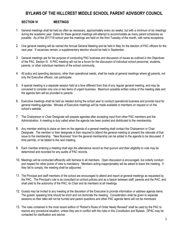#### **BYLAWS OF THE HILLCREST MIDDLE SCHOOL PARENT ADVISORY COUNCIL**

#### **SECTION VI MEETINGS**

- 1. General meetings shall be held as often as necessary, approximately every six weeks, but with a minimum of six meetings during the academic year. Dates for these general meetings will attempt to accommodate as many parent schedules as possible. As of the 2017/18 school year the meetings are held on the third Tuesday of the month, with some exceptions.
- 2. One general meeting will be named the Annual General Meeting and be held in May for the election of PAC officers for the next year. If vacancies remain, a supplementary election should be held in September.
- 3. General meetings are for the purpose of conducting PAC business and discussion of issues as outlined in the Objectives of the PAC, Section III. A PAC meeting will not be a forum for the discussion of individual school personnel, students, parents, or other individual members of the school community.
- 4. All policy and spending decisions, other than operational needs, shall be made at general meetings where all parents, not only the Executive officers, can participate.
- 5. A special meeting is a separate session held at a time different from that of any regular general meeting, and may be convened to consider only one or two items of urgent business. Maximum possible written notice of the meeting date and the agenda item will be provided to parents.
- 6. Executive meetings shall be held as needed during the school year to conduct operational business and provide input for general meeting agendas. Minutes of Executive meetings will be made available to members on request or on the school's website.
- 7. The Chairperson or Chair Designate will prepare agendas after accepting input from other PAC members and the Administration. A meeting is duly called when the agenda has been posted and distributed to the membership.
- 8. Any member wishing to place an item on the agenda of a general meeting shall contact the Chairperson or Chair Designate. The member or their designate is then required to attend the general meeting to present the rationale of that issue to the membership. "New Business" from the general membership can be added to the agenda to be discussed, if time permits, or be tabled to the next meeting.
- 9. Each member entering a meeting shall sign the attendance record so that quorum and their eligibility to vote may be determined and recorded for any audits of PAC records.
- 10. Meetings will be conducted efficiently with fairness to all members.Open discussion is encouraged, but orderly conduct and respect for other points of view is mandatory. Members acting inappropriately will be asked to leave the meeting. If they fail to comply, the meeting shall be adjourned.
- 11. The Principal and staff members of the school are encouraged to attend and report at general meetings as requested by the PAC. The Principal's role is as consultant on school policies and as a liaison between staff, parents and the PAC, and shall yield to the autonomy of the PAC, its Chair and its members at all meetings.
- 12. Guests may be invited to any meeting at the discretion of the Executive to provide information or address agenda items. The guests' speaking time should be short and not dominate the meeting. Consideration shall be given to separate sessions so their talks will not be hurried and parent questions and other PAC agenda items will not be minimized.
- 13. The rules contained in the most recent edition of "Robert's Rules of Order Newly Revised" shall be used by the PAC to resolve any procedural situation, unless they are in conflict with the rules in this Constitution and Bylaws. DPAC may be contacted for clarification and advice.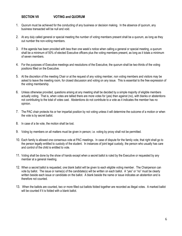#### **SECTION VII VOTING and QUORUM**

- 1. Quorum must be achieved for the conducting of any business or decision making. In the absence of quorum, any business transacted will be null and void.
- 2. At any duly called general or special meeting the number of voting members present shall be a quorum, as long as they out number the non-voting members.
- 3. If the agenda has been provided with less than one week's notice when calling a general or special meeting, a quorum shall be a minimum of 50% of elected Executive officers plus the voting members present, as long as it totals a minimum of seven members.
- 4. For the purposes of Executive meetings and resolutions of the Executive, the quorum shall be two-thirds of the voting positions filled on the Executive.
- 5. At the discretion of the meeting Chair or at the request of any voting member, non voting members and visitors may be asked to leave the meeting room, for closed discussion and voting on any issue. This is essential to the free expression of the voting membership.
- 6. Unless otherwise provided, questions arising at any meeting shall be decided by a simple majority of eligible members actually voting. That is, when votes are tallied there are more votes for (yes) then against (no), with blanks or abstentions not contributing to the total of votes cast. Abstentions do not contribute to a vote as it indicates the member has no opinion.
- 7. The PAC chair protects his or her impartial position by not voting unless it will determine the outcome of a motion or when the vote is by secret ballot.
- 8. In case of a tie vote, the motion shall be lost.
- 9. Voting by members on all matters must be given in person; i.e. voting by proxy shall not be permitted.
- 10. Each family is allowed one consensus vote at PAC meetings. In case of dispute for the family vote, that right shall go to the person legally entitled to custody of the student. In instances of joint legal custody, the person who usually has care and control of the child is entitled to vote.
- 11. Voting shall be done by the show of hands except when a secret ballot is ruled by the Executive or requested by any member at a general meeting.
- 12. When a secret ballot is requested, one blank ballot will be given to each eligible voting member. The Chairperson can vote by ballot. The issue or name(s) of the candidate(s) will be written on each ballot. A "yes" or "no" must be clearly written beside each issue or candidate on the ballot. A blank beside the name or issue indicates an abstention and is therefore not counted.
- 13. When the ballots are counted, two or more filled out ballots folded together are recorded as illegal votes. A marked ballot will be counted if it is folded with a blank ballot.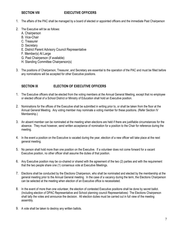#### **SECTION VIII EXECUTIVE OFFICERS**

- 1. The affairs of the PAC shall be managed by a board of elected or appointed officers and the immediate Past Chairperson
- 2. The Executive will be as follows:
	- A. Chairperson
	- B. Vice-Chair
	- C. Treasurer
	- D. Secretary
	- E. District Parent Advisory Council Representative
	- F. Member(s) At Large
	- G. Past Chairperson (if available)
	- H. Standing Committee Chairperson(s)
- 3. The positions of Chairperson, Treasurer, and Secretary are essential to the operation of the PAC and must be filled before any nominations will be accepted for other Executive positions.

#### **SECTION IX ELECTION OF EXECUTIVE OFFICERS**

- 1. The Executive officers shall be elected from the voting members at the Annual General Meeting, except that no employee or elected official of a School District or Ministry of Education shall hold an Executive position.
- 2. Nominations for the offices of the Executive shall be submitted in writing prior to, or shall be taken from the floor at the Annual General Meeting. Any voting member may nominate a voting member for these positions. (Refer Section IV Membership.)
- 3. An absent member can be nominated at the meeting when elections are held if there are justifiable circumstances for the absence. They must however, send written acceptance of nomination for a position to the Chair for reference during the meeting.
- 4. In the event a position on the Executive is vacated during the year, election of a new officer will take place at the next general meeting.
- 5. No person shall hold more than one position on the Executive. If a volunteer does not come forward for a vacant Executive position, no other officer shall assume the duties of that position.
- 6. Any Executive position may be co-chaired or shared with the agreement of the two (2) parties and with the requirement that the two people share one (1) consensus vote at Executive Meetings.
- 7. Elections shall be conducted by the Elections Chairperson, who shall be nominated and elected by the membership at the general meeting prior to the Annual General meeting. In the case of a vacancy during the term, the Elections Chairperson can be selected at the meeting when election of an Executive office is necessitated.
- 8. In the event of more than one volunteer, the election of contested Executive positions shall be done by secret ballot. (Including election of DPAC Representative and School planning council Representatives) The Elections Chairperson shall tally the votes and announce the decision. All election duties must be carried out in full view of the meeting assembly.
- 9. A vote shall be taken to destroy any written ballots.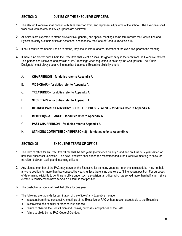#### **SECTION X DUTIES OF THE EXECUTIVE OFFICERS**

- 1. The elected Executive shall consult with, take direction from, and represent all parents of the school. The Executive shall work as a team to ensure PAC purposes are achieved.
- 2. All officers are expected to attend all executive, general, and special meetings, to be familiar with the Constitution and Bylaws, to carry out their duties as described, and to follow the Code of Conduct (Section XIII).
- 3. If an Executive member is unable to attend, they should inform another member of the executive prior to the meeting.
- 4. If there is no elected Vice Chair, the Executive shall elect a "Chair Designate" early in the term from the Executive officers. This person shall convene and preside at PAC meetings when requested to do so by the Chairperson. The "Chair Designate" must always be a voting member that meets Executive eligibility criteria.

#### A. **CHAIRPERSON – for duties refer to Appendix A**

- B. **VICE-CHAIR – for duties refer to Appendix A**
- C. **TREASURER – for duties refer to Appendix A**
- D. **SECRETARY – for duties refer to Appendix A**
- E. **DISTRICT PARENT ADVISORY COUNCIL REPRESENTATIVE – for duties refer to Appendix A**
- F. **MEMBER(S) AT LARGE – for duties refer to Appendix A**
- G. **PAST CHAIRPERSON – for duties refer to Appendix A**
- H. **STANDING COMMITTEE CHAIRPERSON(S) – for duties refer to Appendix A**

#### **SECTION XI EXECUTIVE TERMS OF OFFICE**

- 1. The term of office for an Executive officer shall be two years (commence on July 1 and end on June 30 2 years later) or until their successor is elected. The new Executive shall attend the recommended June Executive meeting to allow for transition between exiting and incoming officers.
- 2. Any elected member of the PAC may serve on the Executive for as many years as he or she is elected, but may not hold any one position for more than two consecutive years, unless there is no one else to fill the vacant position. For purposes of determining eligibility to continue in office under such a provision, an officer who has served more than half a term since elected is considered to have served a full term in that position.
- 3. The past-chairperson shall hold that office for one year.
- 4. The following are grounds for termination of the office of any Executive member:
	- is absent from three consecutive meetings of the Executive or PAC without reason acceptable to the Executive
	- is convicted of a criminal or other serious offence
	- failure to observe the Constitution and Bylaws, purposes, and policies of the PAC
	- failure to abide by the PAC Code of Conduct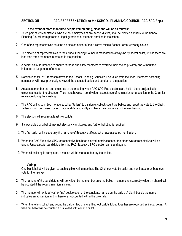#### **SECTION XII PAC REPRESENTATION to the SCHOOL PLANNING COUNCIL (PAC-SPC Rep.)**

#### **In the event of more than three people volunteering, elections will be as follows:**

- 1. Three parent representatives, who are not employees of any school district, shall be elected annually to the School Planning Council from parents or legal guardians of students enrolled in the school.
- 2. One of the representatives must be an elected officer of the Hillcrest Middle School Parent Advisory Council.
- 3. The election of representatives to the School Planning Council is mandated to always be by secret ballot, unless there are less than three members interested in the position.
- 4. A secret ballot is intended to ensure fairness and allow members to exercise their choice privately and without the influence or judgement of others.
- 5. Nominations for PAC representatives to the School Planning Council will be taken from the floor. Members accepting nomination will have previously reviewed the expected duties and conduct of the position.
- 6. An absent member can be nominated at the meeting when PAC-SPC Rep elections are held if there are justifiable circumstances for the absence. They must however, send written acceptance of nomination for a position to the Chair for reference during the meeting.
- 7. The PAC will appoint two members, called "tellers" to distribute, collect, count the ballots and report the vote to the Chair. Tellers should be chosen for accuracy and dependability and have the confidence of the membership.
- 8. The election will require at least two ballots.
- 9. It is possible that a ballot may not elect any candidates, and further balloting is required.
- 10. The first ballot will include only the name(s) of Executive officers who have accepted nomination.
- 11. When the PAC Executive SPC representative has been elected, nominations for the other two representatives will be taken. Unsuccessful candidates from the PAC Executive SPC election can stand again.
- 12. When all balloting is completed, a motion will be made to destroy the ballots.

#### **Voting:**

- 1. One blank ballot will be given to each eligible voting member. The Chair can vote by ballot and nominated members can vote for themselves.
- 2. The name(s) of the candidate(s) will be written by the member onto the ballot. If a name is incorrectly written, it should still be counted if the voter's intention is clear.
- 3. The member will write a "yes" or "no" beside each of the candidate names on the ballot. A blank beside the name indicates an abstention and is therefore not counted within the vote tally.
- 4. When the tellers collect and count the ballots, two or more filled out ballots folded together are recorded as illegal votes. A filled out ballot will be counted if it is folded with a blank ballot.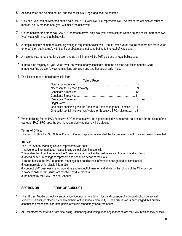- 5. All candidates can be marked "no" and the ballot is still legal and shall be counted.
- 6. Only one "yes" can be recorded on the ballot for PAC Executive SPC representative. The rest of the candidates must be marked "no". More than one "yes" will make the ballot void.
- 7. On the ballot for the other two PAC-SPC representatives, only two "yes" votes can be written on any ballot, more than two "yes" votes will make that ballot void.
- 8. A simple majority of members actually voting is required for elections. That is, when votes are tallied there are more votes for (yes) then against (no), with blanks or abstentions not contributing to the total of votes cast.
- 9. A majority vote is required for election and as a minimum will be 50% plus one of legal ballots cast.
- 10. If there is no majority of "yes" votes over "no" votes for any candidate, then the election has failed and the Chair announces "no election". New nominations are taken and another secret ballot held.
- 11. The Tellers' report should follow this form:

| Tellers' Report                                                                                                                             |  |
|---------------------------------------------------------------------------------------------------------------------------------------------|--|
|                                                                                                                                             |  |
|                                                                                                                                             |  |
|                                                                                                                                             |  |
|                                                                                                                                             |  |
|                                                                                                                                             |  |
| Illegal Votes                                                                                                                               |  |
| One ballot containing two for Candidate C folded together, rejected1<br>One ballot containing two "yes" votes for Executive SPC, rejected 1 |  |

12. When balloting for the PAC Executive SPC representative, the highest majority number will be elected; for the ballot of the two other PAC-SPC reps, the two highest majority numbers will be elected.

#### **Terms of Office:**

The term of office for PAC School Planning Council representatives shall be for one year or until their successor is elected.

#### **Duties:**

- The PAC School Planning Council representatives shall:
- 1. strive to be informed about issues facing school planning councils
- 2. take direction from the general PAC membership and act in the best interests of parents and students
- 3. attend all SPC meetings to represent and speak on behalf of the PAC
- 4. report back to the PAC at general meetings, but not disclose information designated as confidential
- 5. communicate only reliable information
- 6. conduct SPC business in a collaborative and respectful manner and abide by the rulings of the Chairperson
- 7. work to ensure that issues are resolved by due process
- 8. be bound by the PAC Code of Conduct

#### **SECTION XIII CODE OF CONDUCT**

- 1. The Hillcrest Middle School Parent Advisory Council is not a forum for the discussion of individual school personnel, students, parents, or other individual members of the school community. Open discussion is encouraged, but orderly conduct and respect for alternate points of view is mandatory for all members.
- 2. ALL members must refrain from discussing, influencing and voting upon any matter before the PAC in which they or their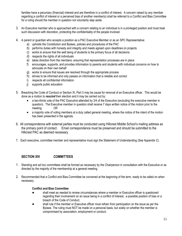families have a pecuniary (financial) interest and are therefore in a conflict of interest. A concern raised by any member regarding a conflict of interest or a perceived bias of another member(s) shall be referred to a Conflict and Bias Committee for a ruling should the member in question not voluntarily step aside.

- 3. An Executive member who is approached with a concern relating to an individual is in a privileged position and must treat such discussion with discretion, protecting the confidentiality of the people involved.
- 4. A parent or guardian who accepts a position as a PAC Executive Member or as an SPC Representative:
	- a) upholds the Constitution and Bylaws, policies and procedures of the PAC
	- b) performs duties with honesty and integrity and meets agreed upon deadlines on projects
	- c) works to ensure that the well being of students is the primary focus of all decisions
	- d) respects the rights of all individuals
	- e) takes direction from the members, ensuring that representation processes are in place
	- f) encourages, supports, and provides information to parents and students with individual concerns on how to advocate on their own behalf
	- g) works to ensure that issues are resolved through the appropriate process
	- h) strives to be informed and only passes on information that is reliable and correct
	- i) respects all confidential information
	- j) supports public education
- 5. Breaching the Code of Conduct or Section XI, Part 3 may be cause for removal of an Executive officer. This would be done as a motion to *rescind* their election and it may be carried out by:
	- a two-thirds vote of the PAC Executive attended by 3/4 of the Executive (excluding the executive member in question). The Executive member in question shall receive 7 days written notice of the motion prior to the meeting. OR
	- a majority vote of voting members at a duly called general meeting, where the notice of the intent of the motion has been presented in the agenda.
- 6. All correspondence with external parties must be conducted using Hillcrest Middle School's mailing address as the primary point of contact. Email correspondence must be preserved and should be submitted to the Hillcrest PAC as deemed necessary.
- 7. Each executive, committee member and representative must sign the Statement of Understanding (See Appendix C).

#### **SECTION XIV COMMITTEES**

- 1. Standing and ad hoc committees shall be formed as necessary by the Chairperson in consultation with the Executive or as directed by the majority of the membership at a general meeting.
- 2. Recommended that a Conflict and Bias Committee be convened at the beginning of the term, ready to be called on when necessary.

#### **Conflict and Bias Committee**

- shall meet as needed to review circumstances where a member or Executive officer is questioned regarding their involvement on an issue being in a conflict of interest, a possible position of bias or a breach of the Code of Conduct.
- shall rule if the member or Executive officer must refrain from participation on the issue as per the Bylaws. The ruling must NOT be made on a personal basis, but solely on whether the member is compromised by association, employment or conduct.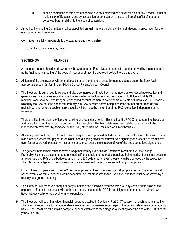- shall be comprised of three members, who are not employed or elected officials of any School District or the Ministry of Education, and by association or employment are clearly free of conflict of interest or perceived bias in relation to the issue of contention.
- 3. An ad hoc Nominating Committee shall be appointed annually before the Annual General Meeting in preparation for the election of a new Executive.
- 4. Committees are fully responsible to the Executive and membership.
	- 5. Other committees may be struck.

#### **SECTION XV FINANCES**

- 1. A proposed budget should be drawn up by the Chairperson/ Executive and be modified and approved by the membership at the final general meeting of the year. A new budget must be approved before the old one expires.
- 2. All funds of the organization will be on deposit in a bank or financial establishment registered under the Bank Act in appropriate account(s) for Hillcrest Middle School Parent Advisory Council.
- 3. The Treasurer is authorized to collect and disperse monies as directed by the members as expressed at executive and general meetings. Monies submitted shall be requested in the form of cheques made out to Hillcrest Middle PAC. Two members (one shall be Executive) must verify and account for monies collected from events or fundraising. ALL monies raised by the PAC must be deposited promptly in a PAC account before being dispersed so that proper records are maintained; and, where possible, bank deposits will be made by a member of the PAC executive, independent of the treasurer.
- 4. There shall be three signing officers for banking and legal documents. This shall be the PAC Chairperson, the Treasurer and one other Executive officer as decided by the Executive. The bank statements and related cheques are to be independently reviewed (by someone on the PAC, other than the Treasurer) on a monthly basis.
- 5. All money paid out from the PAC will be as a cheque on receipt of a detailed invoice or receipt. Signing officers must never sign a cheque where the "payee" is left blank, and a signing officer must never be a signatory on a cheque to themselves, even for an approved expense. All issued cheques must bear the signatures of two of the three authorized signatories.
- 6. The general membership must approve all expenditures by Executive or Committee Members over their budget. Preferably this should occur at a general meeting if one is held prior to that expenditure being made. If this is not possible, an expense up to 10% of the budgeted amount or \$200 dollars, whichever is lesser, can be approved by the Executive. The PAC is not obligated to reimburse individuals who exceed these guidelines without prior approval.
- 7. Expenditures for operations of the PAC may be approved at Executive meetings. All proposed expenditures on capital, school events, or items / services for the school will be first presented to the Executive, and then must be approved by a majority at a general meeting.
- 8. The Treasurer will prepare a cheque for any submitted and approved expense within 30 days of the submission of the expense. Funds for expenses will not be paid in advance, and the PAC is no obligated to reimburse individuals who have not received prior approval for any expenditure.
- 9. The Treasurer will submit a written financial report as detailed in Section X, Part C*,* (Treasurer), at each general meeting. The financial reports are to be independently reviewed and cross-referenced against the banking statements on a monthly basis. The Treasurer will submit a complete annual statement at the first general meeting after the end of the PAC's fiscal year (June 30).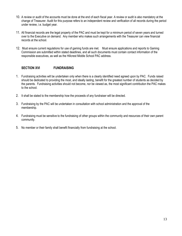- 10. A review or audit of the accounts must be done at the end of each fiscal year. A review or audit is also mandatory at the change of Treasurer. Audit for this purpose refers to an independent review and verification of all records during the period under review, i.e. budget year.
- 11. All financial records are the legal property of the PAC and must be kept for a minimum period of seven years and turned over to the Executive on demand. Any member who makes such arrangements with the Treasurer can view financial records at the school.
- 12. Must ensure current regulations for use of gaming funds are met. Must ensure applications and reports to Gaming Commission are submitted within stated deadlines, and all such documents must contain contact information of the responsible executives, as well as the Hillcrest Middle School PAC address.

#### **SECTION XVI FUNDRAISING**

- 1. Fundraising activities will be undertaken only when there is a clearly identified need agreed upon by PAC. Funds raised should be dedicated to providing the most, and ideally lasting, benefit for the greatest number of students as decided by the parents. Fundraising activities should not become, nor be viewed as, the most significant contribution the PAC makes to the school.
- 2. It shall be stated to the membership how the proceeds of any fundraiser will be directed.
- 3. Fundraising by the PAC will be undertaken in consultation with school administration and the approval of the membership.
- 4. Fundraising must be sensitive to the fundraising of other groups within the community and resources of their own parent community.
- 5. No member or their family shall benefit financially from fundraising at the school.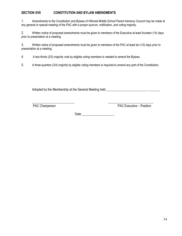#### **SECTION XVII CONSTITUTION AND BYLAW AMENDMENTS**

1. Amendments to the Constitution and Bylaws of Hillcrest Middle School Parent Advisory Council may be made at any general or special meeting of the PAC with a proper quorum, notification, and voting majority.

2. Written notice of proposed amendments must be given to members of the Executive at least fourteen (14) days prior to presentation at a meeting.

3. Written notice of proposed amendments must be given to members of the PAC at least ten (10) days prior to presentation at a meeting.

4. A two-thirds (2/3) majority vote by eligible voting members is needed to amend the Bylaws.

5. A three-quarters (3/4) majority by eligible voting members is required to amend any part of the Constitution.

Adopted by the Membership at the General Meeting held \_\_\_\_\_\_\_\_\_\_\_\_\_\_\_\_\_\_\_\_\_\_\_\_\_, \_\_\_\_\_\_\_

PAC Chairperson PAC Executive – Position:

Date \_\_\_\_\_\_\_\_\_\_\_\_\_\_\_\_\_\_\_\_

\_\_\_\_\_\_\_\_\_\_\_\_\_\_\_\_\_\_\_\_\_\_\_\_\_\_ \_\_\_\_\_\_\_\_\_\_\_\_\_\_\_\_\_\_\_\_\_\_\_\_\_\_\_\_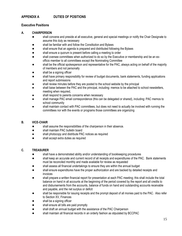#### **APPENDIX A DUTIES OF POSITIONS**

#### **Executive Positions**

#### **A. CHAIRPERSON**

- shall convene and preside at all executive, general and special meetings or notify the Chair Designate to assume this duty as necessary
- shall be familiar with and follow the Constitution and Bylaws
- shall ensure that an agenda is prepared and distributed following the Bylaws
- shall ensure a quorum is present before calling a meeting to order
- shall oversee committees when authorized to do so by the Executive or membership and be an exofficio member to all committees except the Nominating Committee
- shall be the official spokesperson and representative for the PAC, always acting on behalf of the majority of members and not personally
- shall be a signing officer
- shall have primary responsibility for review of budget documents, bank statements, funding applications and report submissions
- shall review minutes before they are posted to the school website by the principal
- shall liaise between the PAC and the principal, including: memos to be attached to school newsletters, meeting when required,
- shall respond to parents concerns when necessary
- shall manage PAC email correspondence (this can be delegated or shared), including: PAC memos to school community
- shall maintain contact with PAC committees, but does not need to actually be involved with running the committees nor with the events or programs those committees are organizing

#### **B. VICE-CHAIR**

- shall assume the responsibilities of the chairperson in their absence.
- shall maintain PAC bulletin board
- shall photocopy and distribute PAC notices as required
- shall accept extra duties as required

#### **C. TREASURER**

- shall have a demonstrated ability and/or understanding of bookkeeping procedures
- shall keep an accurate and current record of all receipts and expenditures of the PAC. Bank statements must be reconciled monthly and made available for review as requested
- shall assess all financial undertakings to ensure they are within the annual budget
- shall ensure expenditures have the proper authorization and are backed by detailed receipts and invoices
- shall prepare a written financial report for presentation at each PAC meeting; this shall include the total balance on hand in all accounts at the beginning of the period covered by the report and all credits to and disbursements from the accounts, balance of funds on hand and outstanding accounts receivable and payable, and the net surplus or deficit
- shall be responsible for issuing receipts and the prompt deposit of all monies paid to the PAC. Also refer to Section XV, Finances
- shall be a signing officer
- shall ensure all bills are paid promptly
- shall draft an annual budget with the assistance of the PAC Chairperson
- shall maintain all financial records in an orderly fashion as stipulated by BCCPAC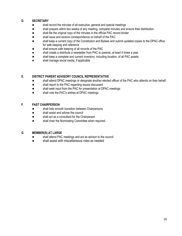#### **D. SECRETARY**

- shall record the minutes of all executive, general and special meetings
- shall prepare within two weeks of any meeting, complete minutes and ensure their distribution
- shall file the original copy of the minutes in the official PAC record binder
- shall issue and receive correspondence on behalf of the PAC
- shall keep a current copy of the Constitution and Bylaws and submit updated copies to the DPAC office for safe keeping and reference
- shall ensure safe keeping of all records of the PAC
- shall create a distribute a newsletter from PAC to parents, at least 4 times a year
- shall keep a complete and current inventory, including location, of all PAC assets
- shall manage social media, if applicable

#### **E. DISTRICT PARENT ADVISORY COUNCIL REPRESENTATIVE**

- shall attend DPAC meetings or designate another elected officer of the PAC who attends on their behalf
- shall report to the PAC regarding issues discussed
- shall seek input from the PAC for presentation at DPAC meetings
- shall vote the PAC's wishes at DPAC meetings

#### **F**. **PAST CHAIRPERSON**

- shall help smooth transition between Chairpersons
- shall assist and advise the council
- shall act as a consultant for the Chairperson
- shall chair the Nominating Committee when required.

#### **G**. **MEMBER(S) AT LARGE**

- shall attend PAC meetings and act as advisor to the council
- shall assist with miscellaneous roles as needed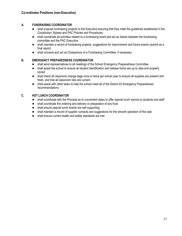#### **A. FUNDRAISING COORDINATOR**

- shall propose fundraising projects to the Executive ensuring that they meet the guidelines established in the Constitution, Bylaws and PAC Policies and Procedures
- shall coordinate all activities related to a fundraising event and act as liaison between the fundraising committee and the PAC Executive
- shall maintain a record of fundraising projects, suggestions for improvement and future events (submit as a final report)
- shall convene and act as Chairperson of a Fundraising Committee, if necessary

#### **B. EMERGENCY PREPAREDNESS COORDINATOR**

- shall send representatives to all meetings of the School Emergency Preparedness Committee
- shall assist the school to ensure all student identification and release forms are up to date and properly stored
- shall check all classroom orange bags once or twice per school year to ensure all supplies are present and fresh, and that all classroom lists are current.
- shall assist with other tasks to help the school meet all of the District 43 Emergency Preparedness recommendations

#### **C. HOT LUNCH COORDINATOR**

- shall coordinate with the Principal as to convenient dates to offer special lunch service to students and staff
- shall coordinate the ordering and delivery or preparation of any food
- shall ensure special lunch events are self supporting
- shall maintain a record of supplier contacts and suggestions for the smooth operation of this task
- shall ensure current health and safety standards are met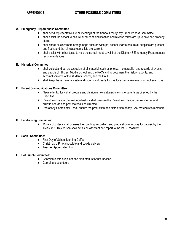#### **A. Emergency Preparedness Committee**

- shall send representatives to all meetings of the School Emergency Preparedness Committee
- shall assist the school to ensure all student identification and release forms are up to date and properly stored
- shall check all classroom orange bags once or twice per school year to ensure all supplies are present and fresh, and that all classrooms lists are current.
- shall assist with other tasks to help the school meet Level 1 of the District 43 Emergency Preparedness recommendations

#### **B. Historical Committee**

- shall collect and act as custodian of all material (such as photos, memorabilia, and records of events and people of Hillcrest Middle School and the PAC) and to document the history, activity, and accomplishments of the students, school, and the PAC
- shall keep these materials safe and orderly and ready for use for external reviews or school event use

#### **C. Parent Communications Committee**

- Newsletter Editor shall prepare and distribute newsletters/bulletins to parents as directed by the **Executive**
- Parent Information Centre Coordinator shall oversee the Parent Information Centre shelves and bulletin boards and post materials as directed
- Photocopy Coordinator shall ensure the production and distribution of any PAC materials to members

#### **D. Fundraising Committee**:

● Money Counter - shall oversee the counting, recording, and preparation of money for deposit by the Treasurer. This person shall act as an assistant and report to the PAC Treasurer

#### **E. Social Committee:**

- First Day of School Morning Coffee
- Christmas VIP hot chocolate and cookie delivery
- Teacher Appreciation Lunch

#### **F. Hot Lunch Committee**:

- Coordinate with suppliers and plan menus for hot lunches.
- Coordinate volunteers